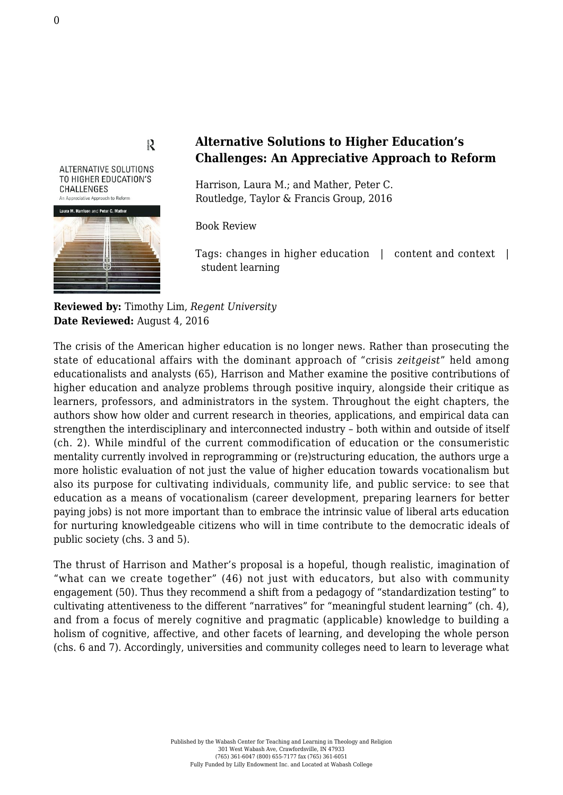## $\sum_{k=1}^{n}$

**ALTERNATIVE SOLUTIONS** TO HIGHER EDUCATION'S CHALLENGES An Appreciative Approach to Reform



## **Alternative Solutions to Higher Education's Challenges: An Appreciative Approach to Reform**

Harrison, Laura M.; and Mather, Peter C. [Routledge, Taylor & Francis Group, 2016](https://www.routledge.com/products/9781138830158)

Book Review

Tags: changes in higher education | content and context | student learning

**Reviewed by:** Timothy Lim, *Regent University* **Date Reviewed:** August 4, 2016

The crisis of the American higher education is no longer news. Rather than prosecuting the state of educational affairs with the dominant approach of "crisis *zeitgeist*" held among educationalists and analysts (65), Harrison and Mather examine the positive contributions of higher education and analyze problems through positive inquiry, alongside their critique as learners, professors, and administrators in the system. Throughout the eight chapters, the authors show how older and current research in theories, applications, and empirical data can strengthen the interdisciplinary and interconnected industry – both within and outside of itself (ch. 2). While mindful of the current commodification of education or the consumeristic mentality currently involved in reprogramming or (re)structuring education, the authors urge a more holistic evaluation of not just the value of higher education towards vocationalism but also its purpose for cultivating individuals, community life, and public service: to see that education as a means of vocationalism (career development, preparing learners for better paying jobs) is not more important than to embrace the intrinsic value of liberal arts education for nurturing knowledgeable citizens who will in time contribute to the democratic ideals of public society (chs. 3 and 5).

The thrust of Harrison and Mather's proposal is a hopeful, though realistic, imagination of "what can we create together" (46) not just with educators, but also with community engagement (50). Thus they recommend a shift from a pedagogy of "standardization testing" to cultivating attentiveness to the different "narratives" for "meaningful student learning" (ch. 4), and from a focus of merely cognitive and pragmatic (applicable) knowledge to building a holism of cognitive, affective, and other facets of learning, and developing the whole person (chs. 6 and 7). Accordingly, universities and community colleges need to learn to leverage what